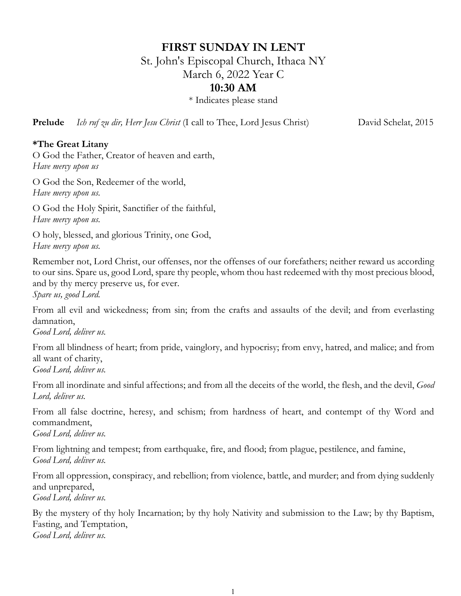# **FIRST SUNDAY IN LENT**

St. John's Episcopal Church, Ithaca NY

March 6, 2022 Year C

# **10:30 AM**

\* Indicates please stand

**Prelude** *Ich ruf zu dir, Herr Jesu Christ* (I call to Thee, Lord Jesus Christ) David Schelat, 2015

### **\*The Great Litany**

O God the Father, Creator of heaven and earth, *Have mercy upon us*

O God the Son, Redeemer of the world, *Have mercy upon us.*

O God the Holy Spirit, Sanctifier of the faithful, *Have mercy upon us.*

O holy, blessed, and glorious Trinity, one God, *Have mercy upon us.*

Remember not, Lord Christ, our offenses, nor the offenses of our forefathers; neither reward us according to our sins. Spare us, good Lord, spare thy people, whom thou hast redeemed with thy most precious blood, and by thy mercy preserve us, for ever.

*Spare us, good Lord.*

From all evil and wickedness; from sin; from the crafts and assaults of the devil; and from everlasting damnation,

*Good Lord, deliver us.*

From all blindness of heart; from pride, vainglory, and hypocrisy; from envy, hatred, and malice; and from all want of charity, *Good Lord, deliver us.*

From all inordinate and sinful affections; and from all the deceits of the world, the flesh, and the devil, *Good Lord, deliver us.*

From all false doctrine, heresy, and schism; from hardness of heart, and contempt of thy Word and commandment,

*Good Lord, deliver us.*

From lightning and tempest; from earthquake, fire, and flood; from plague, pestilence, and famine, *Good Lord, deliver us.*

From all oppression, conspiracy, and rebellion; from violence, battle, and murder; and from dying suddenly and unprepared,

*Good Lord, deliver us.*

By the mystery of thy holy Incarnation; by thy holy Nativity and submission to the Law; by thy Baptism, Fasting, and Temptation, *Good Lord, deliver us.*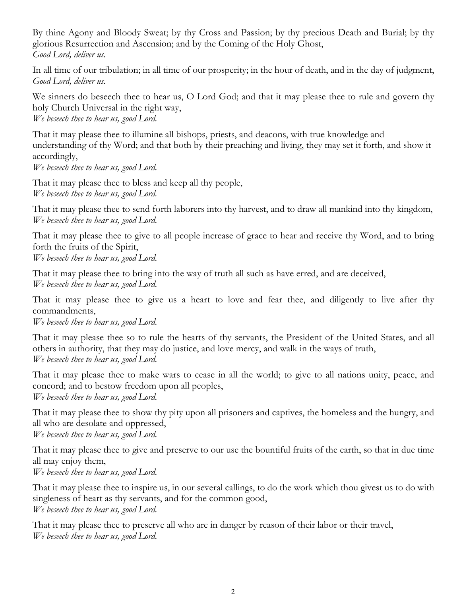By thine Agony and Bloody Sweat; by thy Cross and Passion; by thy precious Death and Burial; by thy glorious Resurrection and Ascension; and by the Coming of the Holy Ghost, *Good Lord, deliver us.*

In all time of our tribulation; in all time of our prosperity; in the hour of death, and in the day of judgment, *Good Lord, deliver us.*

We sinners do beseech thee to hear us, O Lord God; and that it may please thee to rule and govern thy holy Church Universal in the right way, *We beseech thee to hear us, good Lord.*

That it may please thee to illumine all bishops, priests, and deacons, with true knowledge and understanding of thy Word; and that both by their preaching and living, they may set it forth, and show it accordingly,

*We beseech thee to hear us, good Lord.*

That it may please thee to bless and keep all thy people, *We beseech thee to hear us, good Lord.*

That it may please thee to send forth laborers into thy harvest, and to draw all mankind into thy kingdom, *We beseech thee to hear us, good Lord.*

That it may please thee to give to all people increase of grace to hear and receive thy Word, and to bring forth the fruits of the Spirit,

*We beseech thee to hear us, good Lord.*

That it may please thee to bring into the way of truth all such as have erred, and are deceived, *We beseech thee to hear us, good Lord.*

That it may please thee to give us a heart to love and fear thee, and diligently to live after thy commandments,

*We beseech thee to hear us, good Lord.*

That it may please thee so to rule the hearts of thy servants, the President of the United States, and all others in authority, that they may do justice, and love mercy, and walk in the ways of truth, *We beseech thee to hear us, good Lord.*

That it may please thee to make wars to cease in all the world; to give to all nations unity, peace, and concord; and to bestow freedom upon all peoples, *We beseech thee to hear us, good Lord.*

That it may please thee to show thy pity upon all prisoners and captives, the homeless and the hungry, and all who are desolate and oppressed,

*We beseech thee to hear us, good Lord.*

That it may please thee to give and preserve to our use the bountiful fruits of the earth, so that in due time all may enjoy them,

*We beseech thee to hear us, good Lord.*

That it may please thee to inspire us, in our several callings, to do the work which thou givest us to do with singleness of heart as thy servants, and for the common good, *We beseech thee to hear us, good Lord.*

That it may please thee to preserve all who are in danger by reason of their labor or their travel, *We beseech thee to hear us, good Lord.*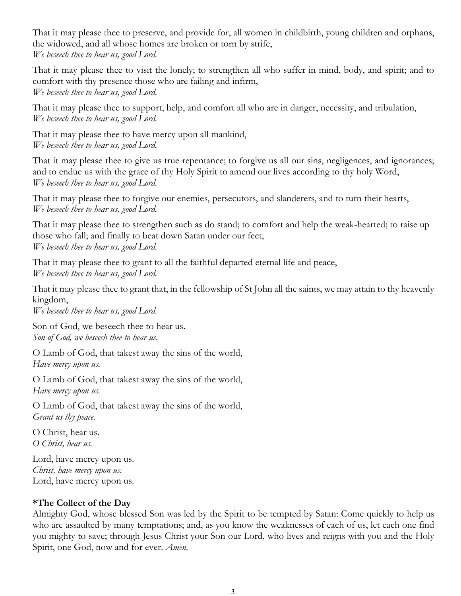That it may please thee to preserve, and provide for, all women in childbirth, young children and orphans, the widowed, and all whose homes are broken or torn by strife, *We beseech thee to hear us, good Lord.*

That it may please thee to visit the lonely; to strengthen all who suffer in mind, body, and spirit; and to comfort with thy presence those who are failing and infirm, *We beseech thee to hear us, good Lord.*

That it may please thee to support, help, and comfort all who are in danger, necessity, and tribulation, *We beseech thee to hear us, good Lord.*

That it may please thee to have mercy upon all mankind, *We beseech thee to hear us, good Lord.*

That it may please thee to give us true repentance; to forgive us all our sins, negligences, and ignorances; and to endue us with the grace of thy Holy Spirit to amend our lives according to thy holy Word, *We beseech thee to hear us, good Lord.*

That it may please thee to forgive our enemies, persecutors, and slanderers, and to turn their hearts, *We beseech thee to hear us, good Lord.*

That it may please thee to strengthen such as do stand; to comfort and help the weak-hearted; to raise up those who fall; and finally to beat down Satan under our feet, *We beseech thee to hear us, good Lord.*

That it may please thee to grant to all the faithful departed eternal life and peace, *We beseech thee to hear us, good Lord.*

That it may please thee to grant that, in the fellowship of St John all the saints, we may attain to thy heavenly kingdom,

*We beseech thee to hear us, good Lord.*

Son of God, we beseech thee to hear us. *Son of God, we beseech thee to hear us.*

O Lamb of God, that takest away the sins of the world, *Have mercy upon us.*

O Lamb of God, that takest away the sins of the world, *Have mercy upon us.*

O Lamb of God, that takest away the sins of the world, *Grant us thy peace.*

O Christ, hear us. *O Christ, hear us.*

Lord, have mercy upon us. *Christ, have mercy upon us.* Lord, have mercy upon us.

# **\*The Collect of the Day**

Almighty God, whose blessed Son was led by the Spirit to be tempted by Satan: Come quickly to help us who are assaulted by many temptations; and, as you know the weaknesses of each of us, let each one find you mighty to save; through Jesus Christ your Son our Lord, who lives and reigns with you and the Holy Spirit, one God, now and for ever. *Amen.*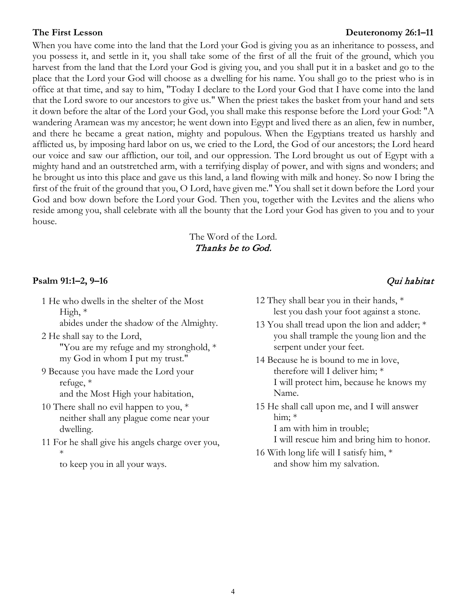#### **The First Lesson Deuteronomy 26:1–11**

When you have come into the land that the Lord your God is giving you as an inheritance to possess, and you possess it, and settle in it, you shall take some of the first of all the fruit of the ground, which you harvest from the land that the Lord your God is giving you, and you shall put it in a basket and go to the place that the Lord your God will choose as a dwelling for his name. You shall go to the priest who is in office at that time, and say to him, "Today I declare to the Lord your God that I have come into the land that the Lord swore to our ancestors to give us." When the priest takes the basket from your hand and sets it down before the altar of the Lord your God, you shall make this response before the Lord your God: "A wandering Aramean was my ancestor; he went down into Egypt and lived there as an alien, few in number, and there he became a great nation, mighty and populous. When the Egyptians treated us harshly and afflicted us, by imposing hard labor on us, we cried to the Lord, the God of our ancestors; the Lord heard our voice and saw our affliction, our toil, and our oppression. The Lord brought us out of Egypt with a mighty hand and an outstretched arm, with a terrifying display of power, and with signs and wonders; and he brought us into this place and gave us this land, a land flowing with milk and honey. So now I bring the first of the fruit of the ground that you, O Lord, have given me." You shall set it down before the Lord your God and bow down before the Lord your God. Then you, together with the Levites and the aliens who reside among you, shall celebrate with all the bounty that the Lord your God has given to you and to your house.

#### The Word of the Lord. Thanks be to God.

#### **Psalm 91:1–2, 9–16** Qui habitat

1 He who dwells in the shelter of the Most High, \*

abides under the shadow of the Almighty.

- 2 He shall say to the Lord, "You are my refuge and my stronghold, \* my God in whom I put my trust."
- 9 Because you have made the Lord your refuge, \* and the Most High your habitation,
- 10 There shall no evil happen to you, \* neither shall any plague come near your dwelling.
- 11 For he shall give his angels charge over you, \*

to keep you in all your ways.

- 12 They shall bear you in their hands, \* lest you dash your foot against a stone.
- 13 You shall tread upon the lion and adder; \* you shall trample the young lion and the serpent under your feet.
- 14 Because he is bound to me in love, therefore will I deliver him; \* I will protect him, because he knows my Name.
- 15 He shall call upon me, and I will answer him; \* I am with him in trouble;
	- I will rescue him and bring him to honor.
- 16 With long life will I satisfy him, \* and show him my salvation.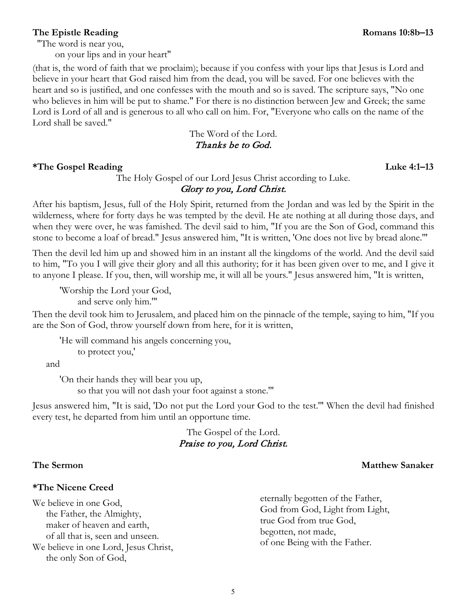### **The Epistle Reading Romans 10:8b–13**

"The word is near you,

on your lips and in your heart"

(that is, the word of faith that we proclaim); because if you confess with your lips that Jesus is Lord and believe in your heart that God raised him from the dead, you will be saved. For one believes with the heart and so is justified, and one confesses with the mouth and so is saved. The scripture says, "No one who believes in him will be put to shame." For there is no distinction between Jew and Greek; the same Lord is Lord of all and is generous to all who call on him. For, "Everyone who calls on the name of the Lord shall be saved."

> The Word of the Lord. Thanks be to God.

#### **\*The Gospel Reading Luke 4:1–13**

### The Holy Gospel of our Lord Jesus Christ according to Luke. Glory to you, Lord Christ.

After his baptism, Jesus, full of the Holy Spirit, returned from the Jordan and was led by the Spirit in the wilderness, where for forty days he was tempted by the devil. He ate nothing at all during those days, and when they were over, he was famished. The devil said to him, "If you are the Son of God, command this stone to become a loaf of bread." Jesus answered him, "It is written, 'One does not live by bread alone.'"

Then the devil led him up and showed him in an instant all the kingdoms of the world. And the devil said to him, "To you I will give their glory and all this authority; for it has been given over to me, and I give it to anyone I please. If you, then, will worship me, it will all be yours." Jesus answered him, "It is written,

'Worship the Lord your God, and serve only him.'"

Then the devil took him to Jerusalem, and placed him on the pinnacle of the temple, saying to him, "If you are the Son of God, throw yourself down from here, for it is written,

'He will command his angels concerning you, to protect you,'

and

'On their hands they will bear you up, so that you will not dash your foot against a stone.'"

Jesus answered him, "It is said, 'Do not put the Lord your God to the test.'" When the devil had finished every test, he departed from him until an opportune time.

# The Gospel of the Lord. Praise to you, Lord Christ.

#### **\*The Nicene Creed**

We believe in one God, the Father, the Almighty, maker of heaven and earth, of all that is, seen and unseen. We believe in one Lord, Jesus Christ, the only Son of God,

eternally begotten of the Father, God from God, Light from Light, true God from true God, begotten, not made, of one Being with the Father.

### **The Sermon Matthew Sanaker**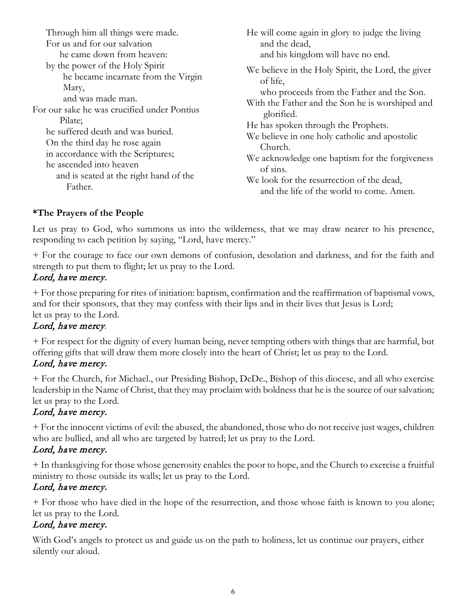| Through him all things were made.                                                                                                                                                                    | He will come again in glory to judge the living                                                                                                                                                                                                                      |
|------------------------------------------------------------------------------------------------------------------------------------------------------------------------------------------------------|----------------------------------------------------------------------------------------------------------------------------------------------------------------------------------------------------------------------------------------------------------------------|
| For us and for our salvation                                                                                                                                                                         | and the dead,                                                                                                                                                                                                                                                        |
| he came down from heaven:                                                                                                                                                                            | and his kingdom will have no end.                                                                                                                                                                                                                                    |
| by the power of the Holy Spirit<br>he became incarnate from the Virgin<br>Mary,<br>and was made man.<br>For our sake he was crucified under Pontius                                                  | We believe in the Holy Spirit, the Lord, the giver<br>of life,<br>who proceeds from the Father and the Son.<br>With the Father and the Son he is worshiped and                                                                                                       |
| Pilate;<br>he suffered death and was buried.<br>On the third day he rose again<br>in accordance with the Scriptures;<br>he ascended into heaven<br>and is seated at the right hand of the<br>Father. | glorified.<br>He has spoken through the Prophets.<br>We believe in one holy catholic and apostolic<br>Church.<br>We acknowledge one baptism for the forgiveness<br>of sins.<br>We look for the resurrection of the dead,<br>and the life of the world to come. Amen. |

# **\*The Prayers of the People**

Let us pray to God, who summons us into the wilderness, that we may draw nearer to his presence, responding to each petition by saying, "Lord, have mercy."

+ For the courage to face our own demons of confusion, desolation and darkness, and for the faith and strength to put them to flight; let us pray to the Lord.

# Lord, have mercy.

+ For those preparing for rites of initiation: baptism, confirmation and the reaffirmation of baptismal vows, and for their sponsors, that they may confess with their lips and in their lives that Jesus is Lord; let us pray to the Lord.

# Lord, have mercy.

+ For respect for the dignity of every human being, never tempting others with things that are harmful, but offering gifts that will draw them more closely into the heart of Christ; let us pray to the Lord.

# Lord, have mercy.

+ For the Church, for Michael., our Presiding Bishop, DeDe., Bishop of this diocese, and all who exercise leadership in the Name of Christ, that they may proclaim with boldness that he is the source of our salvation; let us pray to the Lord.

# Lord, have mercy.

+ For the innocent victims of evil: the abused, the abandoned, those who do not receive just wages, children who are bullied, and all who are targeted by hatred; let us pray to the Lord.

# Lord, have mercy.

+ In thanksgiving for those whose generosity enables the poor to hope, and the Church to exercise a fruitful ministry to those outside its walls; let us pray to the Lord.

# Lord, have mercy.

+ For those who have died in the hope of the resurrection, and those whose faith is known to you alone; let us pray to the Lord.

# Lord, have mercy.

With God's angels to protect us and guide us on the path to holiness, let us continue our prayers, either silently our aloud.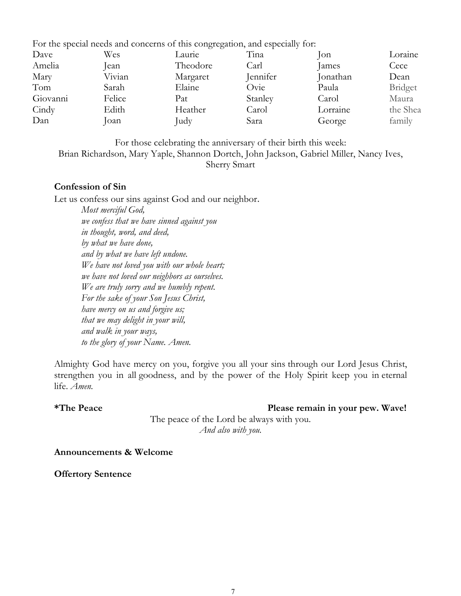For the special needs and concerns of this congregation, and especially for:

| Dave     | Wes    | Laurie   | Tina     | $\lceil$ on | Loraine  |
|----------|--------|----------|----------|-------------|----------|
| Amelia   | lean   | Theodore | Carl     | James       | Cece     |
| Mary     | Vivian | Margaret | Jennifer | Jonathan    | Dean     |
| Tom      | Sarah  | Elaine   | Ovie     | Paula       | Bridget  |
| Giovanni | Felice | Pat      | Stanley  | Carol       | Maura    |
| Cindy    | Edith  | Heather  | Carol    | Lorraine    | the Shea |
| Dan      | Joan   | Judy     | Sara     | George      | family   |
|          |        |          |          |             |          |

For those celebrating the anniversary of their birth this week:

Brian Richardson, Mary Yaple, Shannon Dortch, John Jackson, Gabriel Miller, Nancy Ives,

Sherry Smart

#### **Confession of Sin**

Let us confess our sins against God and our neighbor.

*Most merciful God, we confess that we have sinned against you in thought, word, and deed, by what we have done, and by what we have left undone. We have not loved you with our whole heart; we have not loved our neighbors as ourselves. We are truly sorry and we humbly repent. For the sake of your Son Jesus Christ, have mercy on us and forgive us; that we may delight in your will, and walk in your ways, to the glory of your Name. Amen.*

Almighty God have mercy on you, forgive you all your sins through our Lord Jesus Christ, strengthen you in all goodness, and by the power of the Holy Spirit keep you in eternal life. *Amen.*

**\*The Peace Please remain in your pew. Wave!** The peace of the Lord be always with you. *And also with you.*

**Announcements & Welcome**

**Offertory Sentence**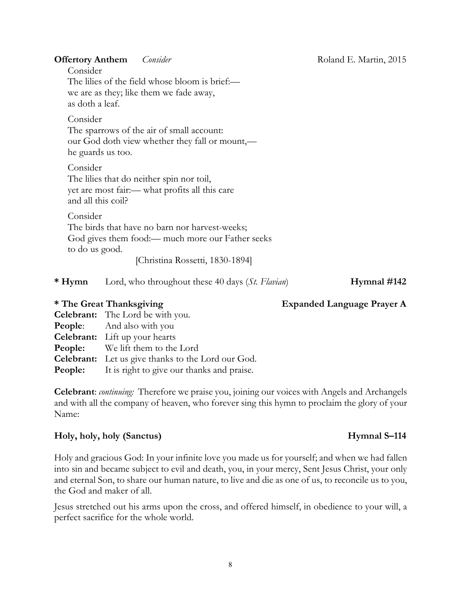**Offertory Anthem** *Consider Consider* Roland E. Martin, 2015

Consider The lilies of the field whose bloom is brief: we are as they; like them we fade away, as doth a leaf.

Consider The sparrows of the air of small account: our God doth view whether they fall or mount,—

he guards us too.

Consider The lilies that do neither spin nor toil, yet are most fair:— what profits all this care and all this coil?

Consider The birds that have no barn nor harvest-weeks; God gives them food:— much more our Father seeks to do us good.

[Christina Rossetti, 1830-1894]

| $*H$ <sub>V</sub> mn | Lord, who throughout these 40 days (St. Flavian) |  | Hymnal #142 |
|----------------------|--------------------------------------------------|--|-------------|
|                      |                                                  |  |             |

# **\* The Great Thanksgiving Expanded Language Prayer A**

| <b>Celebrant:</b> The Lord be with you.                   |
|-----------------------------------------------------------|
| <b>People:</b> And also with you                          |
| <b>Celebrant:</b> Lift up your hearts                     |
| <b>People:</b> We lift them to the Lord                   |
| Celebrant: Let us give thanks to the Lord our God.        |
| <b>People:</b> It is right to give our thanks and praise. |
|                                                           |

**Celebrant**: *continuing:* Therefore we praise you, joining our voices with Angels and Archangels and with all the company of heaven, who forever sing this hymn to proclaim the glory of your Name:

#### **Holy, holy, holy (Sanctus) Hymnal S–114**

Holy and gracious God: In your infinite love you made us for yourself; and when we had fallen into sin and became subject to evil and death, you, in your mercy, Sent Jesus Christ, your only and eternal Son, to share our human nature, to live and die as one of us, to reconcile us to you, the God and maker of all.

Jesus stretched out his arms upon the cross, and offered himself, in obedience to your will, a perfect sacrifice for the whole world.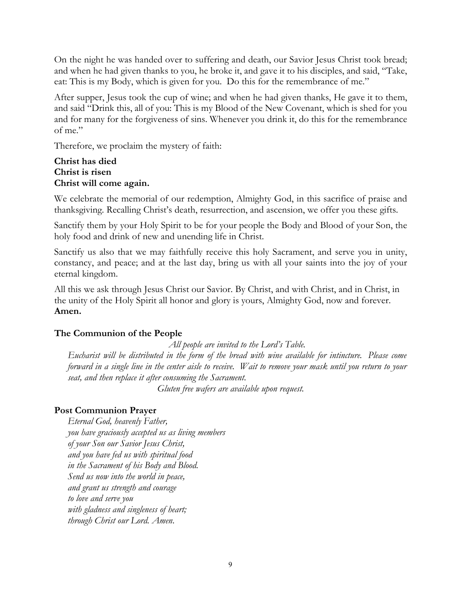On the night he was handed over to suffering and death, our Savior Jesus Christ took bread; and when he had given thanks to you, he broke it, and gave it to his disciples, and said, "Take, eat: This is my Body, which is given for you. Do this for the remembrance of me."

After supper, Jesus took the cup of wine; and when he had given thanks, He gave it to them, and said "Drink this, all of you: This is my Blood of the New Covenant, which is shed for you and for many for the forgiveness of sins. Whenever you drink it, do this for the remembrance of me."

Therefore, we proclaim the mystery of faith:

### **Christ has died Christ is risen Christ will come again.**

We celebrate the memorial of our redemption, Almighty God, in this sacrifice of praise and thanksgiving. Recalling Christ's death, resurrection, and ascension, we offer you these gifts.

Sanctify them by your Holy Spirit to be for your people the Body and Blood of your Son, the holy food and drink of new and unending life in Christ.

Sanctify us also that we may faithfully receive this holy Sacrament, and serve you in unity, constancy, and peace; and at the last day, bring us with all your saints into the joy of your eternal kingdom.

All this we ask through Jesus Christ our Savior. By Christ, and with Christ, and in Christ, in the unity of the Holy Spirit all honor and glory is yours, Almighty God, now and forever. **Amen.**

# **The Communion of the People**

*All people are invited to the Lord's Table. Eucharist will be distributed in the form of the bread with wine available for intincture. Please come forward in a single line in the center aisle to receive. Wait to remove your mask until you return to your seat, and then replace it after consuming the Sacrament.* 

*Gluten free wafers are available upon request.*

# **Post Communion Prayer**

*Eternal God, heavenly Father, you have graciously accepted us as living members of your Son our Savior Jesus Christ, and you have fed us with spiritual food in the Sacrament of his Body and Blood. Send us now into the world in peace, and grant us strength and courage to love and serve you with gladness and singleness of heart; through Christ our Lord. Amen*.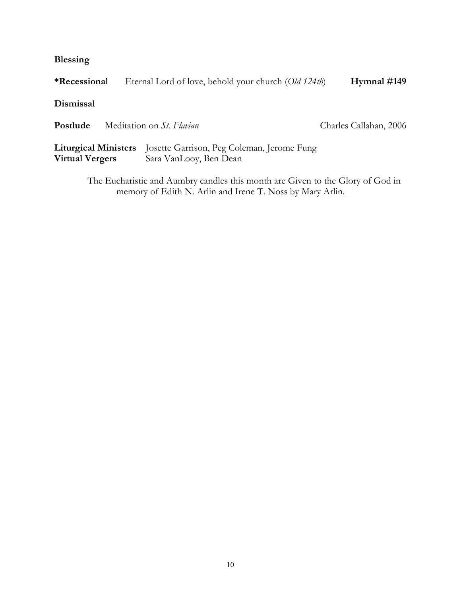**Blessing**

| <i>*Recessional</i>                                   | Eternal Lord of love, behold your church (Old 124th)                                |                        |
|-------------------------------------------------------|-------------------------------------------------------------------------------------|------------------------|
| Dismissal                                             |                                                                                     |                        |
| Postlude                                              | Meditation on St. Flavian                                                           | Charles Callahan, 2006 |
| <b>Liturgical Ministers</b><br><b>Virtual Vergers</b> | Josette Garrison, Peg Coleman, Jerome Fung<br>Sara VanLooy, Ben Dean                |                        |
|                                                       | The Euchanistic and Augustus exactles this meanth and Circon to the Claus of Cod in |                        |

The Eucharistic and Aumbry candles this month are Given to the Glory of God in memory of Edith N. Arlin and Irene T. Noss by Mary Arlin.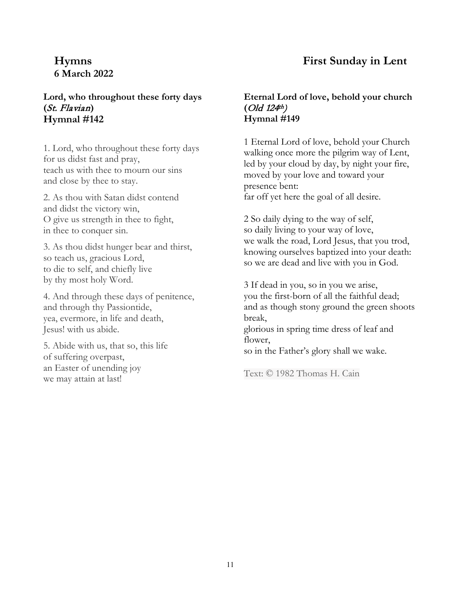# **6 March 2022**

# **Lord, who throughout these forty days (**St. Flavian**) Hymnal #142**

1. Lord, who throughout these forty days for us didst fast and pray, teach us with thee to mourn our sins and close by thee to stay.

2. As thou with Satan didst contend and didst the victory win, O give us strength in thee to fight, in thee to conquer sin.

3. As thou didst hunger bear and thirst, so teach us, gracious Lord, to die to self, and chiefly live by thy most holy Word.

4. And through these days of penitence, and through thy Passiontide, yea, evermore, in life and death, Jesus! with us abide.

5. Abide with us, that so, this life of suffering overpast, an Easter of unending joy we may attain at last!

# **Hymns First Sunday in Lent**

#### **Eternal Lord of love, behold your church**   $\left($  Old 124<sup>th</sup> $\right)$ **Hymnal #149**

1 Eternal Lord of love, behold your Church walking once more the pilgrim way of Lent, led by your cloud by day, by night your fire, moved by your love and toward your presence bent: far off yet here the goal of all desire.

2 So daily dying to the way of self, so daily living to your way of love, we walk the road, Lord Jesus, that you trod, knowing ourselves baptized into your death: so we are dead and live with you in God.

3 If dead in you, so in you we arise, you the first-born of all the faithful dead; and as though stony ground the green shoots break, glorious in spring time dress of leaf and flower. so in the Father's glory shall we wake.

Text: © 1982 Thomas H. Cain